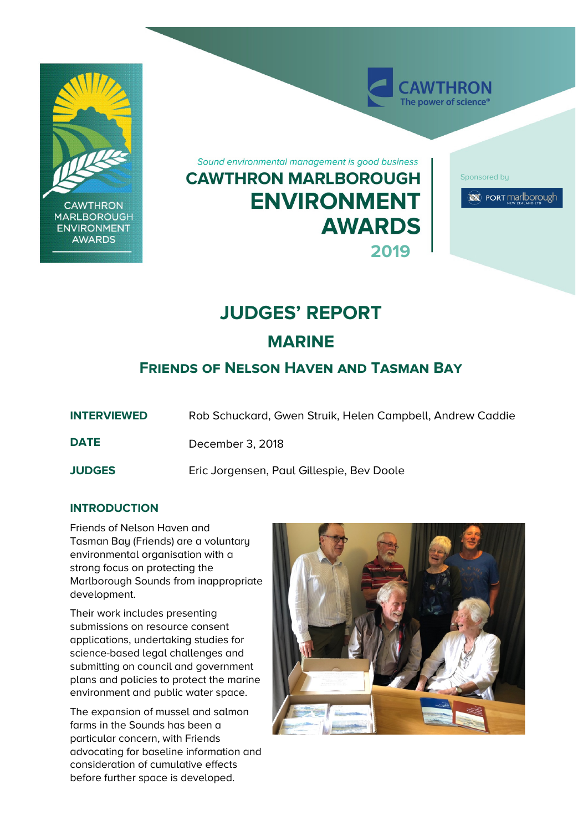

# **JUDGES' REPORT**

**MARINE**

# **Friends of Nelson Haven and Tasman Bay**

**INTERVIEWED** Rob Schuckard, Gwen Struik, Helen Campbell, Andrew Caddie

**DATE** December 3, 2018

**JUDGES** Eric Jorgensen, Paul Gillespie, Bev Doole

## **INTRODUCTION**

Friends of Nelson Haven and Tasman Bay (Friends) are a voluntary environmental organisation with a strong focus on protecting the Marlborough Sounds from inappropriate development.

Their work includes presenting submissions on resource consent applications, undertaking studies for science-based legal challenges and submitting on council and government plans and policies to protect the marine environment and public water space.

The expansion of mussel and salmon farms in the Sounds has been a particular concern, with Friends advocating for baseline information and consideration of cumulative effects before further space is developed.

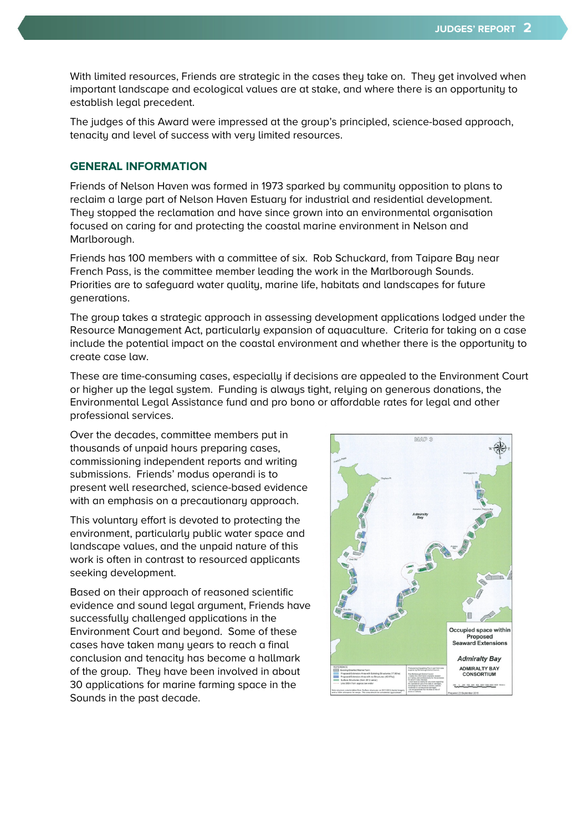With limited resources, Friends are strategic in the cases they take on. They get involved when important landscape and ecological values are at stake, and where there is an opportunity to establish legal precedent.

The judges of this Award were impressed at the group's principled, science-based approach, tenacity and level of success with very limited resources.

#### **GENERAL INFORMATION**

Friends of Nelson Haven was formed in 1973 sparked by community opposition to plans to reclaim a large part of Nelson Haven Estuary for industrial and residential development. They stopped the reclamation and have since grown into an environmental organisation focused on caring for and protecting the coastal marine environment in Nelson and Marlborough.

Friends has 100 members with a committee of six. Rob Schuckard, from Taipare Bay near French Pass, is the committee member leading the work in the Marlborough Sounds. Priorities are to safeguard water quality, marine life, habitats and landscapes for future generations.

The group takes a strategic approach in assessing development applications lodged under the Resource Management Act, particularly expansion of aquaculture. Criteria for taking on a case include the potential impact on the coastal environment and whether there is the opportunity to create case law.

These are time-consuming cases, especially if decisions are appealed to the Environment Court or higher up the legal system. Funding is always tight, relying on generous donations, the Environmental Legal Assistance fund and pro bono or affordable rates for legal and other professional services.

Over the decades, committee members put in thousands of unpaid hours preparing cases, commissioning independent reports and writing submissions. Friends' modus operandi is to present well researched, science-based evidence with an emphasis on a precautionary approach.

This voluntary effort is devoted to protecting the environment, particularly public water space and landscape values, and the unpaid nature of this work is often in contrast to resourced applicants seeking development.

Based on their approach of reasoned scientific evidence and sound legal argument, Friends have successfully challenged applications in the Environment Court and beyond. Some of these cases have taken many years to reach a final conclusion and tenacity has become a hallmark of the group. They have been involved in about 30 applications for marine farming space in the Sounds in the past decade.

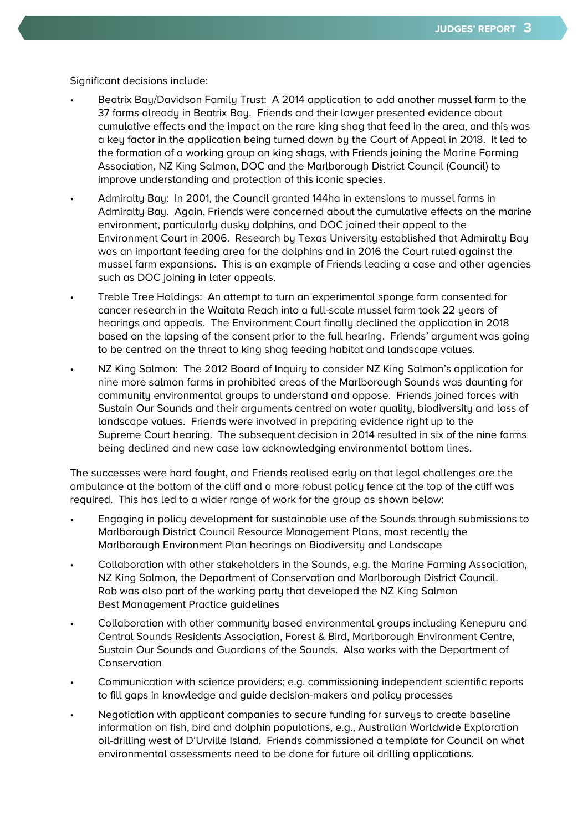Significant decisions include:

- Beatrix Bay/Davidson Family Trust: A 2014 application to add another mussel farm to the 37 farms already in Beatrix Bay. Friends and their lawyer presented evidence about cumulative effects and the impact on the rare king shag that feed in the area, and this was a key factor in the application being turned down by the Court of Appeal in 2018. It led to the formation of a working group on king shags, with Friends joining the Marine Farming Association, NZ King Salmon, DOC and the Marlborough District Council (Council) to improve understanding and protection of this iconic species.
- Admiralty Bay: In 2001, the Council granted 144ha in extensions to mussel farms in Admiralty Bay. Again, Friends were concerned about the cumulative effects on the marine environment, particularly dusky dolphins, and DOC joined their appeal to the Environment Court in 2006. Research by Texas University established that Admiralty Bay was an important feeding area for the dolphins and in 2016 the Court ruled against the mussel farm expansions. This is an example of Friends leading a case and other agencies such as DOC joining in later appeals.
- Treble Tree Holdings: An attempt to turn an experimental sponge farm consented for cancer research in the Waitata Reach into a full-scale mussel farm took 22 years of hearings and appeals. The Environment Court finally declined the application in 2018 based on the lapsing of the consent prior to the full hearing. Friends' argument was going to be centred on the threat to king shag feeding habitat and landscape values.
- NZ King Salmon: The 2012 Board of Inquiry to consider NZ King Salmon's application for nine more salmon farms in prohibited areas of the Marlborough Sounds was daunting for community environmental groups to understand and oppose. Friends joined forces with Sustain Our Sounds and their arguments centred on water quality, biodiversity and loss of landscape values. Friends were involved in preparing evidence right up to the Supreme Court hearing. The subsequent decision in 2014 resulted in six of the nine farms being declined and new case law acknowledging environmental bottom lines.

The successes were hard fought, and Friends realised early on that legal challenges are the ambulance at the bottom of the cliff and a more robust policy fence at the top of the cliff was required. This has led to a wider range of work for the group as shown below:

- Engaging in policy development for sustainable use of the Sounds through submissions to Marlborough District Council Resource Management Plans, most recently the Marlborough Environment Plan hearings on Biodiversity and Landscape
- Collaboration with other stakeholders in the Sounds, e.g. the Marine Farming Association, NZ King Salmon, the Department of Conservation and Marlborough District Council. Rob was also part of the working party that developed the NZ King Salmon Best Management Practice guidelines
- Collaboration with other community based environmental groups including Kenepuru and Central Sounds Residents Association, Forest & Bird, Marlborough Environment Centre, Sustain Our Sounds and Guardians of the Sounds. Also works with the Department of Conservation
- Communication with science providers; e.g. commissioning independent scientific reports to fill gaps in knowledge and guide decision-makers and policy processes
- Negotiation with applicant companies to secure funding for surveys to create baseline information on fish, bird and dolphin populations, e.g., Australian Worldwide Exploration oil-drilling west of D'Urville Island. Friends commissioned a template for Council on what environmental assessments need to be done for future oil drilling applications.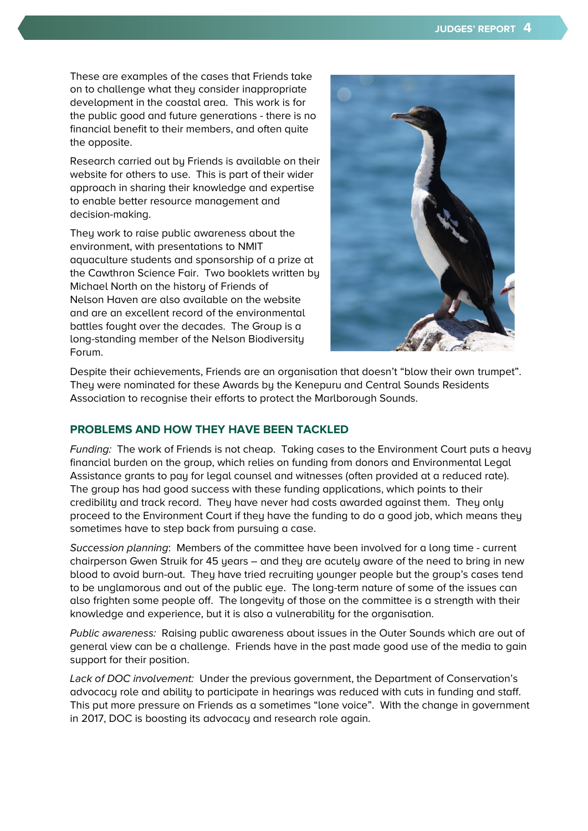These are examples of the cases that Friends take on to challenge what they consider inappropriate development in the coastal area. This work is for the public good and future generations - there is no financial benefit to their members, and often quite the opposite.

Research carried out by Friends is available on their website for others to use. This is part of their wider approach in sharing their knowledge and expertise to enable better resource management and decision-making.

They work to raise public awareness about the environment, with presentations to NMIT aquaculture students and sponsorship of a prize at the Cawthron Science Fair. Two booklets written by Michael North on the history of Friends of Nelson Haven are also available on the website and are an excellent record of the environmental battles fought over the decades. The Group is a long-standing member of the Nelson Biodiversity Forum.



Despite their achievements, Friends are an organisation that doesn't "blow their own trumpet". They were nominated for these Awards by the Kenepuru and Central Sounds Residents Association to recognise their efforts to protect the Marlborough Sounds.

### **PROBLEMS AND HOW THEY HAVE BEEN TACKLED**

Funding: The work of Friends is not cheap. Taking cases to the Environment Court puts a heavy financial burden on the group, which relies on funding from donors and Environmental Legal Assistance grants to pay for legal counsel and witnesses (often provided at a reduced rate). The group has had good success with these funding applications, which points to their credibility and track record. They have never had costs awarded against them. They only proceed to the Environment Court if they have the funding to do a good job, which means they sometimes have to step back from pursuing a case.

Succession planning: Members of the committee have been involved for a long time - current chairperson Gwen Struik for 45 years – and they are acutely aware of the need to bring in new blood to avoid burn-out. They have tried recruiting younger people but the group's cases tend to be unglamorous and out of the public eye. The long-term nature of some of the issues can also frighten some people off. The longevity of those on the committee is a strength with their knowledge and experience, but it is also a vulnerability for the organisation.

Public awareness: Raising public awareness about issues in the Outer Sounds which are out of general view can be a challenge. Friends have in the past made good use of the media to gain support for their position.

Lack of DOC involvement: Under the previous government, the Department of Conservation's advocacy role and ability to participate in hearings was reduced with cuts in funding and staff. This put more pressure on Friends as a sometimes "lone voice". With the change in government in 2017, DOC is boosting its advocacy and research role again.